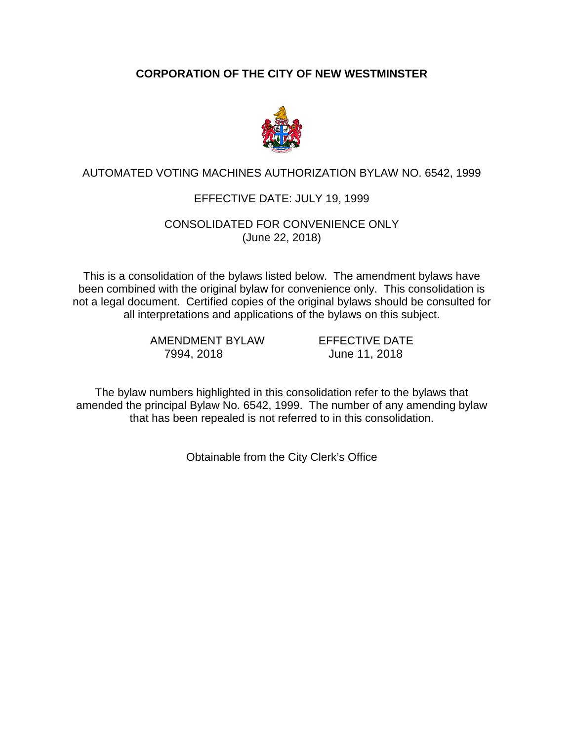# **CORPORATION OF THE CITY OF NEW WESTMINSTER**



## AUTOMATED VOTING MACHINES AUTHORIZATION BYLAW NO. 6542, 1999

## EFFECTIVE DATE: JULY 19, 1999

#### CONSOLIDATED FOR CONVENIENCE ONLY (June 22, 2018)

This is a consolidation of the bylaws listed below. The amendment bylaws have been combined with the original bylaw for convenience only. This consolidation is not a legal document. Certified copies of the original bylaws should be consulted for all interpretations and applications of the bylaws on this subject.

> AMENDMENT BYLAW EFFECTIVE DATE 7994, 2018 June 11, 2018

The bylaw numbers highlighted in this consolidation refer to the bylaws that amended the principal Bylaw No. 6542, 1999. The number of any amending bylaw that has been repealed is not referred to in this consolidation.

Obtainable from the City Clerk's Office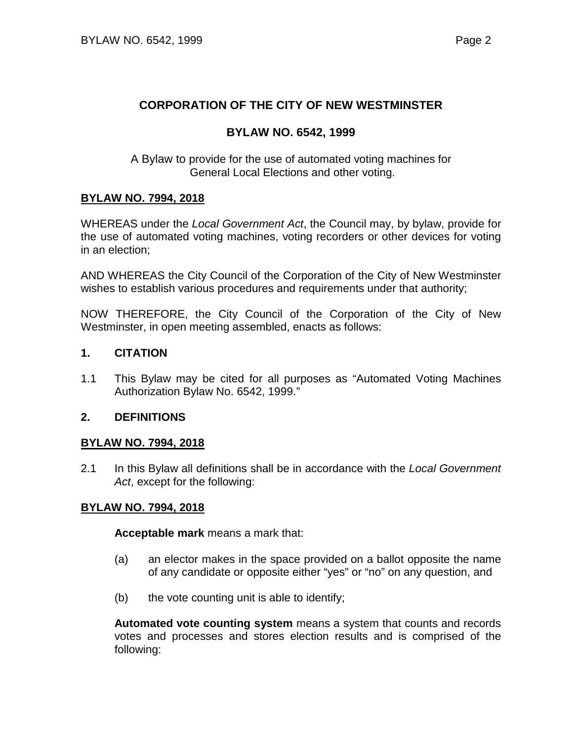#### **CORPORATION OF THE CITY OF NEW WESTMINSTER**

#### **BYLAW NO. 6542, 1999**

A Bylaw to provide for the use of automated voting machines for General Local Elections and other voting.

#### **BYLAW NO. 7994, 2018**

WHEREAS under the *Local Government Act*, the Council may, by bylaw, provide for the use of automated voting machines, voting recorders or other devices for voting in an election;

AND WHEREAS the City Council of the Corporation of the City of New Westminster wishes to establish various procedures and requirements under that authority;

NOW THEREFORE, the City Council of the Corporation of the City of New Westminster, in open meeting assembled, enacts as follows:

#### **1. CITATION**

1.1 This Bylaw may be cited for all purposes as "Automated Voting Machines Authorization Bylaw No. 6542, 1999."

#### **2. DEFINITIONS**

#### **BYLAW NO. 7994, 2018**

2.1 In this Bylaw all definitions shall be in accordance with the *Local Government Act*, except for the following:

#### **BYLAW NO. 7994, 2018**

**Acceptable mark** means a mark that:

- (a) an elector makes in the space provided on a ballot opposite the name of any candidate or opposite either "yes" or "no" on any question, and
- (b) the vote counting unit is able to identify;

**Automated vote counting system** means a system that counts and records votes and processes and stores election results and is comprised of the following: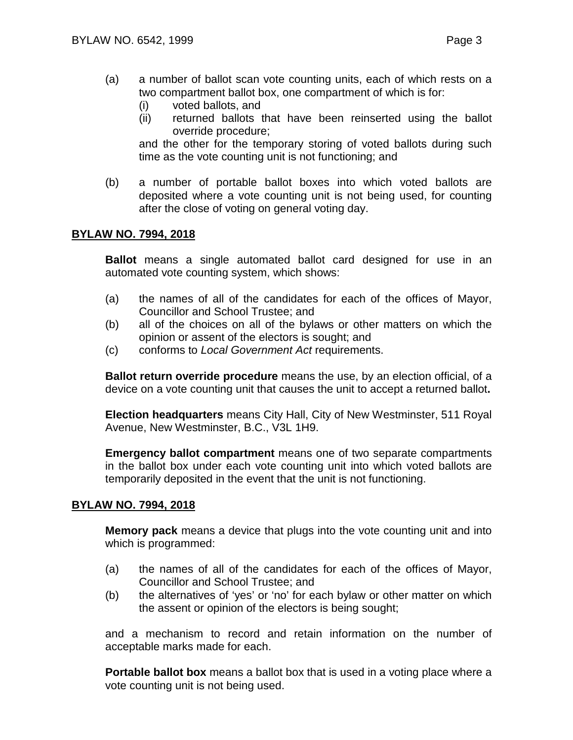- (a) a number of ballot scan vote counting units, each of which rests on a two compartment ballot box, one compartment of which is for:
	- (i) voted ballots, and
	- (ii) returned ballots that have been reinserted using the ballot override procedure;

and the other for the temporary storing of voted ballots during such time as the vote counting unit is not functioning; and

(b) a number of portable ballot boxes into which voted ballots are deposited where a vote counting unit is not being used, for counting after the close of voting on general voting day.

#### **BYLAW NO. 7994, 2018**

**Ballot** means a single automated ballot card designed for use in an automated vote counting system, which shows:

- (a) the names of all of the candidates for each of the offices of Mayor, Councillor and School Trustee; and
- (b) all of the choices on all of the bylaws or other matters on which the opinion or assent of the electors is sought; and
- (c) conforms to *Local Government Act* requirements.

**Ballot return override procedure** means the use, by an election official, of a device on a vote counting unit that causes the unit to accept a returned ballot**.**

**Election headquarters** means City Hall, City of New Westminster, 511 Royal Avenue, New Westminster, B.C., V3L 1H9.

**Emergency ballot compartment** means one of two separate compartments in the ballot box under each vote counting unit into which voted ballots are temporarily deposited in the event that the unit is not functioning.

#### **BYLAW NO. 7994, 2018**

**Memory pack** means a device that plugs into the vote counting unit and into which is programmed:

- (a) the names of all of the candidates for each of the offices of Mayor, Councillor and School Trustee; and
- (b) the alternatives of 'yes' or 'no' for each bylaw or other matter on which the assent or opinion of the electors is being sought;

and a mechanism to record and retain information on the number of acceptable marks made for each.

**Portable ballot box** means a ballot box that is used in a voting place where a vote counting unit is not being used.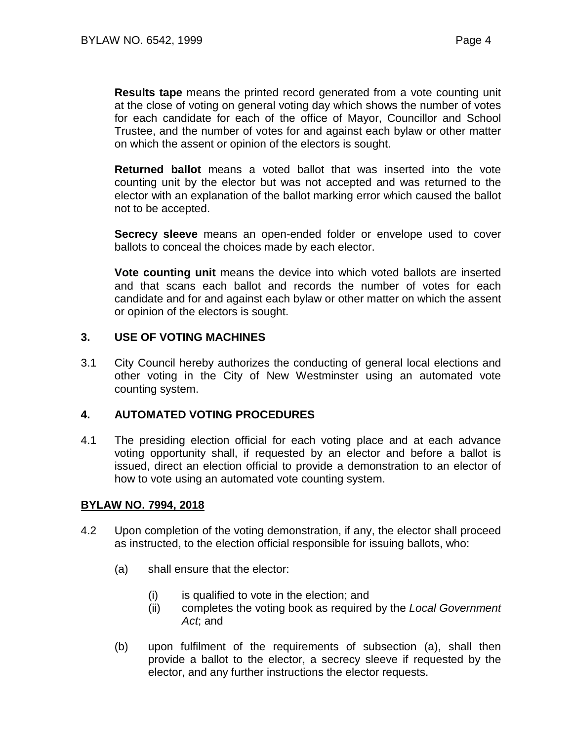**Results tape** means the printed record generated from a vote counting unit at the close of voting on general voting day which shows the number of votes for each candidate for each of the office of Mayor, Councillor and School Trustee, and the number of votes for and against each bylaw or other matter on which the assent or opinion of the electors is sought.

**Returned ballot** means a voted ballot that was inserted into the vote counting unit by the elector but was not accepted and was returned to the elector with an explanation of the ballot marking error which caused the ballot not to be accepted.

**Secrecy sleeve** means an open-ended folder or envelope used to cover ballots to conceal the choices made by each elector.

**Vote counting unit** means the device into which voted ballots are inserted and that scans each ballot and records the number of votes for each candidate and for and against each bylaw or other matter on which the assent or opinion of the electors is sought.

## **3. USE OF VOTING MACHINES**

3.1 City Council hereby authorizes the conducting of general local elections and other voting in the City of New Westminster using an automated vote counting system.

#### **4. AUTOMATED VOTING PROCEDURES**

4.1 The presiding election official for each voting place and at each advance voting opportunity shall, if requested by an elector and before a ballot is issued, direct an election official to provide a demonstration to an elector of how to vote using an automated vote counting system.

#### **BYLAW NO. 7994, 2018**

- 4.2 Upon completion of the voting demonstration, if any, the elector shall proceed as instructed, to the election official responsible for issuing ballots, who:
	- (a) shall ensure that the elector:
		- (i) is qualified to vote in the election; and
		- (ii) completes the voting book as required by the *Local Government Act*; and
	- (b) upon fulfilment of the requirements of subsection (a), shall then provide a ballot to the elector, a secrecy sleeve if requested by the elector, and any further instructions the elector requests.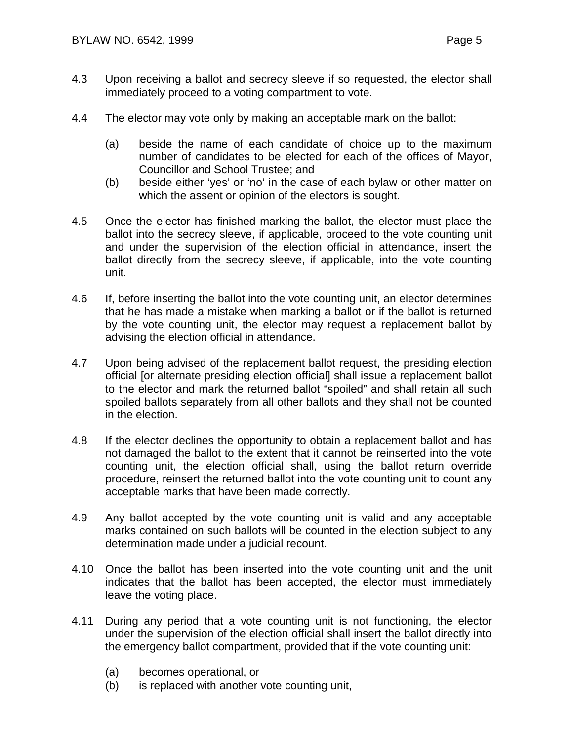- 4.3 Upon receiving a ballot and secrecy sleeve if so requested, the elector shall immediately proceed to a voting compartment to vote.
- 4.4 The elector may vote only by making an acceptable mark on the ballot:
	- (a) beside the name of each candidate of choice up to the maximum number of candidates to be elected for each of the offices of Mayor, Councillor and School Trustee; and
	- (b) beside either 'yes' or 'no' in the case of each bylaw or other matter on which the assent or opinion of the electors is sought.
- 4.5 Once the elector has finished marking the ballot, the elector must place the ballot into the secrecy sleeve, if applicable, proceed to the vote counting unit and under the supervision of the election official in attendance, insert the ballot directly from the secrecy sleeve, if applicable, into the vote counting unit.
- 4.6 If, before inserting the ballot into the vote counting unit, an elector determines that he has made a mistake when marking a ballot or if the ballot is returned by the vote counting unit, the elector may request a replacement ballot by advising the election official in attendance.
- 4.7 Upon being advised of the replacement ballot request, the presiding election official [or alternate presiding election official] shall issue a replacement ballot to the elector and mark the returned ballot "spoiled" and shall retain all such spoiled ballots separately from all other ballots and they shall not be counted in the election.
- 4.8 If the elector declines the opportunity to obtain a replacement ballot and has not damaged the ballot to the extent that it cannot be reinserted into the vote counting unit, the election official shall, using the ballot return override procedure, reinsert the returned ballot into the vote counting unit to count any acceptable marks that have been made correctly.
- 4.9 Any ballot accepted by the vote counting unit is valid and any acceptable marks contained on such ballots will be counted in the election subject to any determination made under a judicial recount.
- 4.10 Once the ballot has been inserted into the vote counting unit and the unit indicates that the ballot has been accepted, the elector must immediately leave the voting place.
- 4.11 During any period that a vote counting unit is not functioning, the elector under the supervision of the election official shall insert the ballot directly into the emergency ballot compartment, provided that if the vote counting unit:
	- (a) becomes operational, or
	- (b) is replaced with another vote counting unit,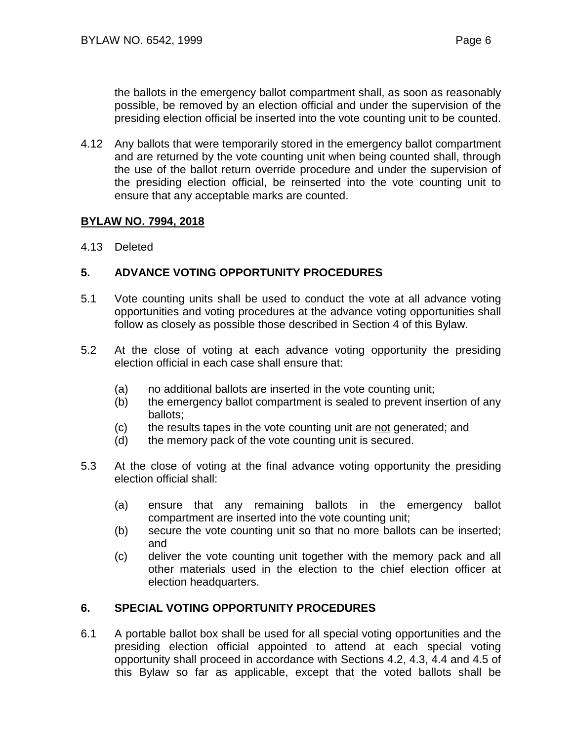the ballots in the emergency ballot compartment shall, as soon as reasonably possible, be removed by an election official and under the supervision of the presiding election official be inserted into the vote counting unit to be counted.

4.12 Any ballots that were temporarily stored in the emergency ballot compartment and are returned by the vote counting unit when being counted shall, through the use of the ballot return override procedure and under the supervision of the presiding election official, be reinserted into the vote counting unit to ensure that any acceptable marks are counted.

## **BYLAW NO. 7994, 2018**

4.13 Deleted

## **5. ADVANCE VOTING OPPORTUNITY PROCEDURES**

- 5.1 Vote counting units shall be used to conduct the vote at all advance voting opportunities and voting procedures at the advance voting opportunities shall follow as closely as possible those described in Section 4 of this Bylaw.
- 5.2 At the close of voting at each advance voting opportunity the presiding election official in each case shall ensure that:
	- (a) no additional ballots are inserted in the vote counting unit;
	- (b) the emergency ballot compartment is sealed to prevent insertion of any ballots;
	- (c) the results tapes in the vote counting unit are not generated; and
	- (d) the memory pack of the vote counting unit is secured.
- 5.3 At the close of voting at the final advance voting opportunity the presiding election official shall:
	- (a) ensure that any remaining ballots in the emergency ballot compartment are inserted into the vote counting unit;
	- (b) secure the vote counting unit so that no more ballots can be inserted; and
	- (c) deliver the vote counting unit together with the memory pack and all other materials used in the election to the chief election officer at election headquarters.

#### **6. SPECIAL VOTING OPPORTUNITY PROCEDURES**

6.1 A portable ballot box shall be used for all special voting opportunities and the presiding election official appointed to attend at each special voting opportunity shall proceed in accordance with Sections 4.2, 4.3, 4.4 and 4.5 of this Bylaw so far as applicable, except that the voted ballots shall be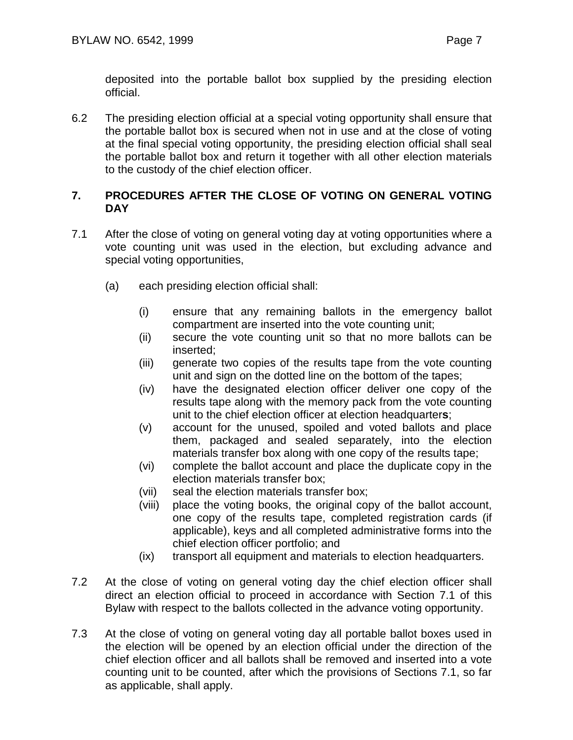deposited into the portable ballot box supplied by the presiding election official.

6.2 The presiding election official at a special voting opportunity shall ensure that the portable ballot box is secured when not in use and at the close of voting at the final special voting opportunity, the presiding election official shall seal the portable ballot box and return it together with all other election materials to the custody of the chief election officer.

# **7. PROCEDURES AFTER THE CLOSE OF VOTING ON GENERAL VOTING DAY**

- 7.1 After the close of voting on general voting day at voting opportunities where a vote counting unit was used in the election, but excluding advance and special voting opportunities,
	- (a) each presiding election official shall:
		- (i) ensure that any remaining ballots in the emergency ballot compartment are inserted into the vote counting unit;
		- (ii) secure the vote counting unit so that no more ballots can be inserted;
		- (iii) generate two copies of the results tape from the vote counting unit and sign on the dotted line on the bottom of the tapes;
		- (iv) have the designated election officer deliver one copy of the results tape along with the memory pack from the vote counting unit to the chief election officer at election headquarter**s**;
		- (v) account for the unused, spoiled and voted ballots and place them, packaged and sealed separately, into the election materials transfer box along with one copy of the results tape;
		- (vi) complete the ballot account and place the duplicate copy in the election materials transfer box;
		- (vii) seal the election materials transfer box;
		- (viii) place the voting books, the original copy of the ballot account, one copy of the results tape, completed registration cards (if applicable), keys and all completed administrative forms into the chief election officer portfolio; and
		- (ix) transport all equipment and materials to election headquarters.
- 7.2 At the close of voting on general voting day the chief election officer shall direct an election official to proceed in accordance with Section 7.1 of this Bylaw with respect to the ballots collected in the advance voting opportunity.
- 7.3 At the close of voting on general voting day all portable ballot boxes used in the election will be opened by an election official under the direction of the chief election officer and all ballots shall be removed and inserted into a vote counting unit to be counted, after which the provisions of Sections 7.1, so far as applicable, shall apply.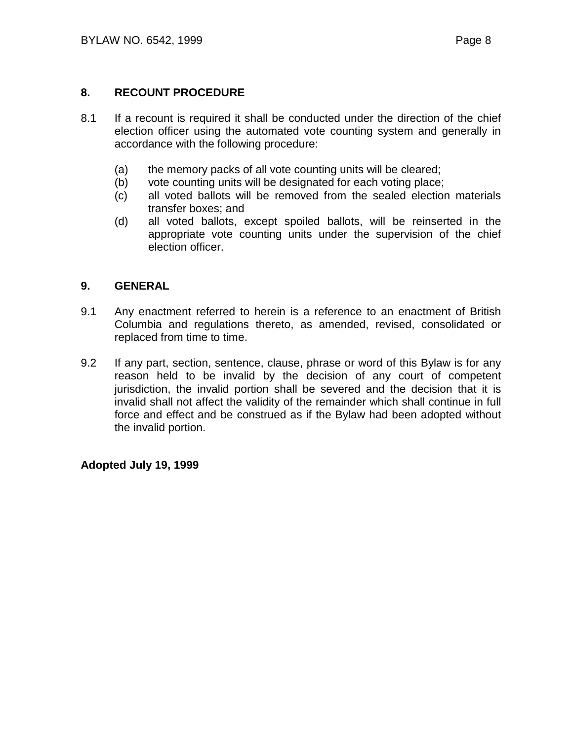## **8. RECOUNT PROCEDURE**

- 8.1 If a recount is required it shall be conducted under the direction of the chief election officer using the automated vote counting system and generally in accordance with the following procedure:
	- (a) the memory packs of all vote counting units will be cleared;
	- (b) vote counting units will be designated for each voting place;
	- (c) all voted ballots will be removed from the sealed election materials transfer boxes; and
	- (d) all voted ballots, except spoiled ballots, will be reinserted in the appropriate vote counting units under the supervision of the chief election officer.

## **9. GENERAL**

- 9.1 Any enactment referred to herein is a reference to an enactment of British Columbia and regulations thereto, as amended, revised, consolidated or replaced from time to time.
- 9.2 If any part, section, sentence, clause, phrase or word of this Bylaw is for any reason held to be invalid by the decision of any court of competent jurisdiction, the invalid portion shall be severed and the decision that it is invalid shall not affect the validity of the remainder which shall continue in full force and effect and be construed as if the Bylaw had been adopted without the invalid portion.

**Adopted July 19, 1999**